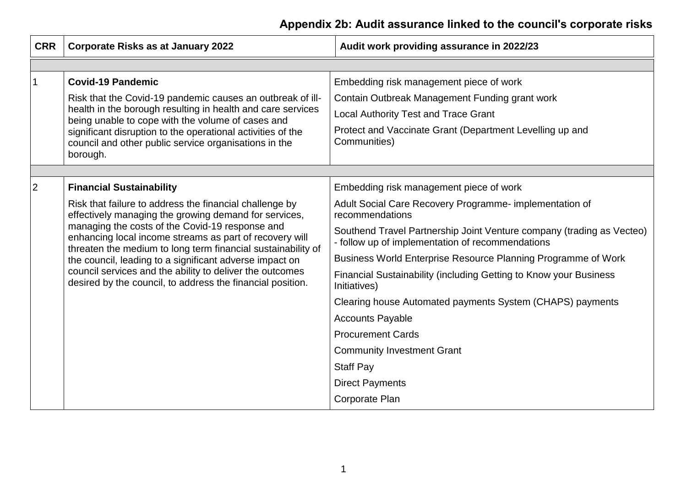| <b>CRR</b>     | <b>Corporate Risks as at January 2022</b>                                                                                                                                                                                                                                                                                                                                                                                                                                           | Audit work providing assurance in 2022/23                                                                                 |
|----------------|-------------------------------------------------------------------------------------------------------------------------------------------------------------------------------------------------------------------------------------------------------------------------------------------------------------------------------------------------------------------------------------------------------------------------------------------------------------------------------------|---------------------------------------------------------------------------------------------------------------------------|
|                |                                                                                                                                                                                                                                                                                                                                                                                                                                                                                     |                                                                                                                           |
|                | <b>Covid-19 Pandemic</b>                                                                                                                                                                                                                                                                                                                                                                                                                                                            | Embedding risk management piece of work                                                                                   |
|                | Risk that the Covid-19 pandemic causes an outbreak of ill-<br>health in the borough resulting in health and care services<br>being unable to cope with the volume of cases and                                                                                                                                                                                                                                                                                                      | Contain Outbreak Management Funding grant work                                                                            |
|                |                                                                                                                                                                                                                                                                                                                                                                                                                                                                                     | Local Authority Test and Trace Grant                                                                                      |
|                | significant disruption to the operational activities of the<br>council and other public service organisations in the                                                                                                                                                                                                                                                                                                                                                                | Protect and Vaccinate Grant (Department Levelling up and<br>Communities)                                                  |
|                | borough.                                                                                                                                                                                                                                                                                                                                                                                                                                                                            |                                                                                                                           |
|                |                                                                                                                                                                                                                                                                                                                                                                                                                                                                                     |                                                                                                                           |
| $\overline{2}$ | <b>Financial Sustainability</b>                                                                                                                                                                                                                                                                                                                                                                                                                                                     | Embedding risk management piece of work                                                                                   |
|                | Risk that failure to address the financial challenge by<br>effectively managing the growing demand for services,<br>managing the costs of the Covid-19 response and<br>enhancing local income streams as part of recovery will<br>threaten the medium to long term financial sustainability of<br>the council, leading to a significant adverse impact on<br>council services and the ability to deliver the outcomes<br>desired by the council, to address the financial position. | Adult Social Care Recovery Programme- implementation of<br>recommendations                                                |
|                |                                                                                                                                                                                                                                                                                                                                                                                                                                                                                     | Southend Travel Partnership Joint Venture company (trading as Vecteo)<br>- follow up of implementation of recommendations |
|                |                                                                                                                                                                                                                                                                                                                                                                                                                                                                                     | Business World Enterprise Resource Planning Programme of Work                                                             |
|                |                                                                                                                                                                                                                                                                                                                                                                                                                                                                                     | Financial Sustainability (including Getting to Know your Business<br>Initiatives)                                         |
|                |                                                                                                                                                                                                                                                                                                                                                                                                                                                                                     | Clearing house Automated payments System (CHAPS) payments                                                                 |
|                |                                                                                                                                                                                                                                                                                                                                                                                                                                                                                     | <b>Accounts Payable</b>                                                                                                   |
|                |                                                                                                                                                                                                                                                                                                                                                                                                                                                                                     | <b>Procurement Cards</b>                                                                                                  |
|                |                                                                                                                                                                                                                                                                                                                                                                                                                                                                                     | <b>Community Investment Grant</b>                                                                                         |
|                |                                                                                                                                                                                                                                                                                                                                                                                                                                                                                     | <b>Staff Pay</b>                                                                                                          |
|                |                                                                                                                                                                                                                                                                                                                                                                                                                                                                                     | <b>Direct Payments</b>                                                                                                    |
|                |                                                                                                                                                                                                                                                                                                                                                                                                                                                                                     | Corporate Plan                                                                                                            |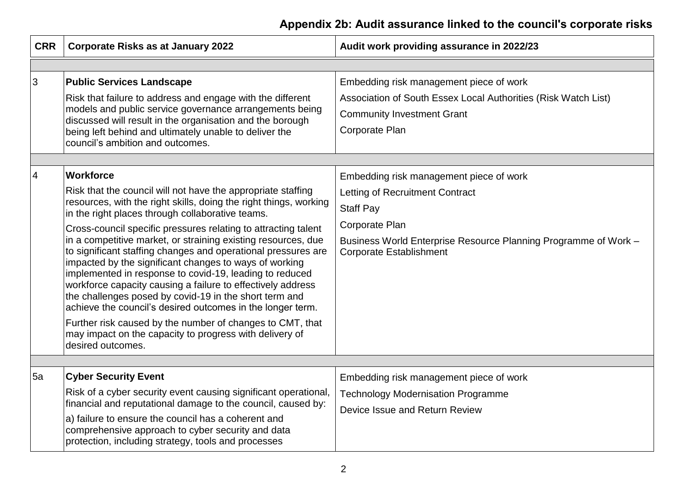| <b>CRR</b>     | <b>Corporate Risks as at January 2022</b>                                                                                                                                                                                                                                                                                                                                                                                                                                                                                                                                                                                                                                                                                                                                                                                                  | Audit work providing assurance in 2022/23                                                                                                                                                                             |
|----------------|--------------------------------------------------------------------------------------------------------------------------------------------------------------------------------------------------------------------------------------------------------------------------------------------------------------------------------------------------------------------------------------------------------------------------------------------------------------------------------------------------------------------------------------------------------------------------------------------------------------------------------------------------------------------------------------------------------------------------------------------------------------------------------------------------------------------------------------------|-----------------------------------------------------------------------------------------------------------------------------------------------------------------------------------------------------------------------|
|                |                                                                                                                                                                                                                                                                                                                                                                                                                                                                                                                                                                                                                                                                                                                                                                                                                                            |                                                                                                                                                                                                                       |
| 3              | <b>Public Services Landscape</b><br>Risk that failure to address and engage with the different<br>models and public service governance arrangements being<br>discussed will result in the organisation and the borough<br>being left behind and ultimately unable to deliver the                                                                                                                                                                                                                                                                                                                                                                                                                                                                                                                                                           | Embedding risk management piece of work<br>Association of South Essex Local Authorities (Risk Watch List)<br><b>Community Investment Grant</b><br>Corporate Plan                                                      |
|                | council's ambition and outcomes.                                                                                                                                                                                                                                                                                                                                                                                                                                                                                                                                                                                                                                                                                                                                                                                                           |                                                                                                                                                                                                                       |
| $\overline{4}$ | Workforce<br>Risk that the council will not have the appropriate staffing<br>resources, with the right skills, doing the right things, working<br>in the right places through collaborative teams.<br>Cross-council specific pressures relating to attracting talent<br>in a competitive market, or straining existing resources, due<br>to significant staffing changes and operational pressures are<br>impacted by the significant changes to ways of working<br>implemented in response to covid-19, leading to reduced<br>workforce capacity causing a failure to effectively address<br>the challenges posed by covid-19 in the short term and<br>achieve the council's desired outcomes in the longer term.<br>Further risk caused by the number of changes to CMT, that<br>may impact on the capacity to progress with delivery of | Embedding risk management piece of work<br>Letting of Recruitment Contract<br><b>Staff Pay</b><br>Corporate Plan<br>Business World Enterprise Resource Planning Programme of Work -<br><b>Corporate Establishment</b> |
|                | desired outcomes.                                                                                                                                                                                                                                                                                                                                                                                                                                                                                                                                                                                                                                                                                                                                                                                                                          |                                                                                                                                                                                                                       |
| 5a             | <b>Cyber Security Event</b><br>Risk of a cyber security event causing significant operational,<br>financial and reputational damage to the council, caused by:<br>a) failure to ensure the council has a coherent and<br>comprehensive approach to cyber security and data<br>protection, including strategy, tools and processes                                                                                                                                                                                                                                                                                                                                                                                                                                                                                                          | Embedding risk management piece of work<br><b>Technology Modernisation Programme</b><br>Device Issue and Return Review                                                                                                |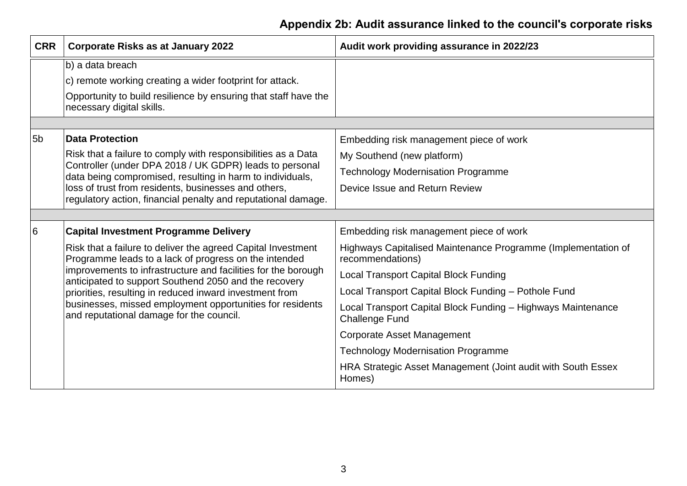| <b>CRR</b>     | <b>Corporate Risks as at January 2022</b>                                                                                                                                                                                                                                                                                                                                                                           | Audit work providing assurance in 2022/23                                             |
|----------------|---------------------------------------------------------------------------------------------------------------------------------------------------------------------------------------------------------------------------------------------------------------------------------------------------------------------------------------------------------------------------------------------------------------------|---------------------------------------------------------------------------------------|
|                | b) a data breach<br>c) remote working creating a wider footprint for attack.<br>Opportunity to build resilience by ensuring that staff have the<br>necessary digital skills.                                                                                                                                                                                                                                        |                                                                                       |
|                |                                                                                                                                                                                                                                                                                                                                                                                                                     |                                                                                       |
| 5 <sub>b</sub> | <b>Data Protection</b>                                                                                                                                                                                                                                                                                                                                                                                              | Embedding risk management piece of work                                               |
|                | Risk that a failure to comply with responsibilities as a Data<br>Controller (under DPA 2018 / UK GDPR) leads to personal<br>data being compromised, resulting in harm to individuals,<br>loss of trust from residents, businesses and others,                                                                                                                                                                       | My Southend (new platform)                                                            |
|                |                                                                                                                                                                                                                                                                                                                                                                                                                     | <b>Technology Modernisation Programme</b>                                             |
|                |                                                                                                                                                                                                                                                                                                                                                                                                                     | Device Issue and Return Review                                                        |
|                | regulatory action, financial penalty and reputational damage.                                                                                                                                                                                                                                                                                                                                                       |                                                                                       |
|                |                                                                                                                                                                                                                                                                                                                                                                                                                     |                                                                                       |
| <sup>6</sup>   | <b>Capital Investment Programme Delivery</b>                                                                                                                                                                                                                                                                                                                                                                        | Embedding risk management piece of work                                               |
|                | Risk that a failure to deliver the agreed Capital Investment<br>Programme leads to a lack of progress on the intended<br>improvements to infrastructure and facilities for the borough<br>anticipated to support Southend 2050 and the recovery<br>priorities, resulting in reduced inward investment from<br>businesses, missed employment opportunities for residents<br>and reputational damage for the council. | Highways Capitalised Maintenance Programme (Implementation of<br>recommendations)     |
|                |                                                                                                                                                                                                                                                                                                                                                                                                                     | <b>Local Transport Capital Block Funding</b>                                          |
|                |                                                                                                                                                                                                                                                                                                                                                                                                                     | Local Transport Capital Block Funding - Pothole Fund                                  |
|                |                                                                                                                                                                                                                                                                                                                                                                                                                     | Local Transport Capital Block Funding - Highways Maintenance<br><b>Challenge Fund</b> |
|                |                                                                                                                                                                                                                                                                                                                                                                                                                     | <b>Corporate Asset Management</b>                                                     |
|                |                                                                                                                                                                                                                                                                                                                                                                                                                     | <b>Technology Modernisation Programme</b>                                             |
|                |                                                                                                                                                                                                                                                                                                                                                                                                                     | HRA Strategic Asset Management (Joint audit with South Essex<br>Homes)                |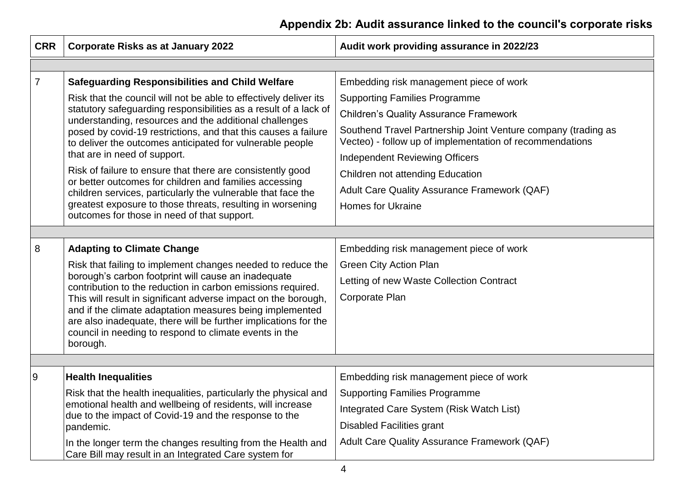| <b>CRR</b>     | <b>Corporate Risks as at January 2022</b>                                                                                                                                                                                                           | Audit work providing assurance in 2022/23                                                                                 |
|----------------|-----------------------------------------------------------------------------------------------------------------------------------------------------------------------------------------------------------------------------------------------------|---------------------------------------------------------------------------------------------------------------------------|
|                |                                                                                                                                                                                                                                                     |                                                                                                                           |
| $\overline{7}$ | <b>Safeguarding Responsibilities and Child Welfare</b>                                                                                                                                                                                              | Embedding risk management piece of work                                                                                   |
|                | Risk that the council will not be able to effectively deliver its                                                                                                                                                                                   | <b>Supporting Families Programme</b>                                                                                      |
|                | statutory safeguarding responsibilities as a result of a lack of<br>understanding, resources and the additional challenges                                                                                                                          | <b>Children's Quality Assurance Framework</b>                                                                             |
|                | posed by covid-19 restrictions, and that this causes a failure<br>to deliver the outcomes anticipated for vulnerable people                                                                                                                         | Southend Travel Partnership Joint Venture company (trading as<br>Vecteo) - follow up of implementation of recommendations |
|                | that are in need of support.                                                                                                                                                                                                                        | <b>Independent Reviewing Officers</b>                                                                                     |
|                | Risk of failure to ensure that there are consistently good<br>or better outcomes for children and families accessing                                                                                                                                | Children not attending Education                                                                                          |
|                | children services, particularly the vulnerable that face the                                                                                                                                                                                        | Adult Care Quality Assurance Framework (QAF)                                                                              |
|                | greatest exposure to those threats, resulting in worsening                                                                                                                                                                                          | <b>Homes for Ukraine</b>                                                                                                  |
|                | outcomes for those in need of that support.                                                                                                                                                                                                         |                                                                                                                           |
|                |                                                                                                                                                                                                                                                     |                                                                                                                           |
| 8              | <b>Adapting to Climate Change</b>                                                                                                                                                                                                                   | Embedding risk management piece of work                                                                                   |
|                | Risk that failing to implement changes needed to reduce the<br>borough's carbon footprint will cause an inadequate<br>contribution to the reduction in carbon emissions required.<br>This will result in significant adverse impact on the borough, | <b>Green City Action Plan</b>                                                                                             |
|                |                                                                                                                                                                                                                                                     | Letting of new Waste Collection Contract                                                                                  |
|                |                                                                                                                                                                                                                                                     | Corporate Plan                                                                                                            |
|                | and if the climate adaptation measures being implemented<br>are also inadequate, there will be further implications for the                                                                                                                         |                                                                                                                           |
|                | council in needing to respond to climate events in the                                                                                                                                                                                              |                                                                                                                           |
|                | borough.                                                                                                                                                                                                                                            |                                                                                                                           |
|                |                                                                                                                                                                                                                                                     |                                                                                                                           |
| 9              | <b>Health Inequalities</b>                                                                                                                                                                                                                          | Embedding risk management piece of work                                                                                   |
|                | Risk that the health inequalities, particularly the physical and<br>emotional health and wellbeing of residents, will increase<br>due to the impact of Covid-19 and the response to the<br>pandemic.                                                | <b>Supporting Families Programme</b>                                                                                      |
|                |                                                                                                                                                                                                                                                     | Integrated Care System (Risk Watch List)                                                                                  |
|                |                                                                                                                                                                                                                                                     | <b>Disabled Facilities grant</b>                                                                                          |
|                | In the longer term the changes resulting from the Health and<br>Care Bill may result in an Integrated Care system for                                                                                                                               | Adult Care Quality Assurance Framework (QAF)                                                                              |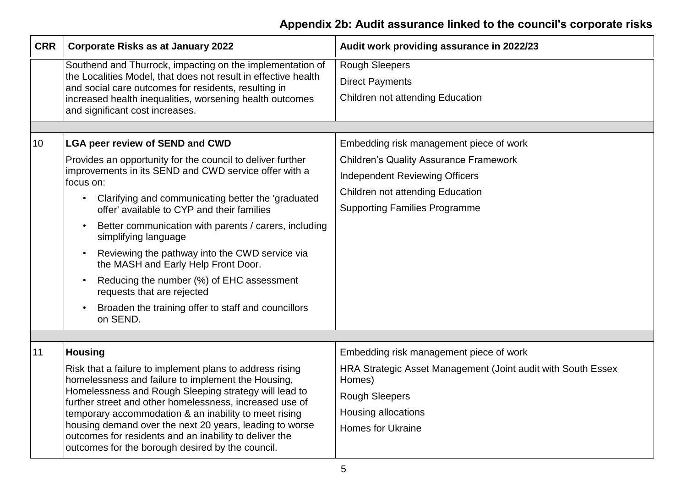| <b>CRR</b> | <b>Corporate Risks as at January 2022</b>                                                                                                                                 | Audit work providing assurance in 2022/23                              |  |
|------------|---------------------------------------------------------------------------------------------------------------------------------------------------------------------------|------------------------------------------------------------------------|--|
|            | Southend and Thurrock, impacting on the implementation of                                                                                                                 | <b>Rough Sleepers</b>                                                  |  |
|            | the Localities Model, that does not result in effective health<br>and social care outcomes for residents, resulting in                                                    | <b>Direct Payments</b>                                                 |  |
|            | increased health inequalities, worsening health outcomes<br>and significant cost increases.                                                                               | Children not attending Education                                       |  |
|            |                                                                                                                                                                           |                                                                        |  |
| 10         | <b>LGA peer review of SEND and CWD</b>                                                                                                                                    | Embedding risk management piece of work                                |  |
|            | Provides an opportunity for the council to deliver further                                                                                                                | <b>Children's Quality Assurance Framework</b>                          |  |
|            | improvements in its SEND and CWD service offer with a<br>focus on:                                                                                                        | <b>Independent Reviewing Officers</b>                                  |  |
|            | Clarifying and communicating better the 'graduated                                                                                                                        | Children not attending Education                                       |  |
|            | offer' available to CYP and their families                                                                                                                                | <b>Supporting Families Programme</b>                                   |  |
|            | Better communication with parents / carers, including<br>$\bullet$<br>simplifying language                                                                                |                                                                        |  |
|            | Reviewing the pathway into the CWD service via<br>$\bullet$<br>the MASH and Early Help Front Door.                                                                        |                                                                        |  |
|            | Reducing the number (%) of EHC assessment<br>$\bullet$<br>requests that are rejected                                                                                      |                                                                        |  |
|            | Broaden the training offer to staff and councillors<br>on SEND.                                                                                                           |                                                                        |  |
|            |                                                                                                                                                                           |                                                                        |  |
| 11         | <b>Housing</b>                                                                                                                                                            | Embedding risk management piece of work                                |  |
|            | Risk that a failure to implement plans to address rising<br>homelessness and failure to implement the Housing,                                                            | HRA Strategic Asset Management (Joint audit with South Essex<br>Homes) |  |
|            | Homelessness and Rough Sleeping strategy will lead to<br>further street and other homelessness, increased use of<br>temporary accommodation & an inability to meet rising | <b>Rough Sleepers</b>                                                  |  |
|            |                                                                                                                                                                           | Housing allocations                                                    |  |
|            | housing demand over the next 20 years, leading to worse<br>outcomes for residents and an inability to deliver the<br>outcomes for the borough desired by the council.     | <b>Homes for Ukraine</b>                                               |  |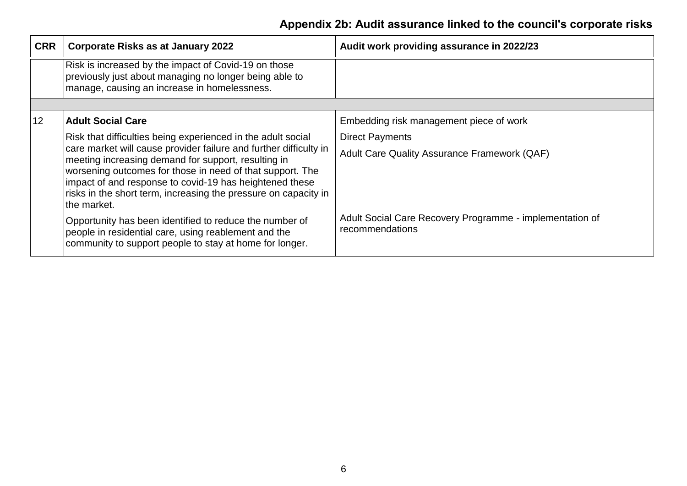| <b>CRR</b> | <b>Corporate Risks as at January 2022</b>                                                                                                                                                                                                                                                                                          | Audit work providing assurance in 2022/23                                   |
|------------|------------------------------------------------------------------------------------------------------------------------------------------------------------------------------------------------------------------------------------------------------------------------------------------------------------------------------------|-----------------------------------------------------------------------------|
|            | Risk is increased by the impact of Covid-19 on those<br>previously just about managing no longer being able to<br>manage, causing an increase in homelessness.                                                                                                                                                                     |                                                                             |
|            |                                                                                                                                                                                                                                                                                                                                    |                                                                             |
| 12         | <b>Adult Social Care</b>                                                                                                                                                                                                                                                                                                           | Embedding risk management piece of work                                     |
|            | Risk that difficulties being experienced in the adult social                                                                                                                                                                                                                                                                       | <b>Direct Payments</b>                                                      |
|            | care market will cause provider failure and further difficulty in<br>meeting increasing demand for support, resulting in<br>worsening outcomes for those in need of that support. The<br>impact of and response to covid-19 has heightened these<br>risks in the short term, increasing the pressure on capacity in<br>the market. | Adult Care Quality Assurance Framework (QAF)                                |
|            | Opportunity has been identified to reduce the number of<br>people in residential care, using reablement and the<br>community to support people to stay at home for longer.                                                                                                                                                         | Adult Social Care Recovery Programme - implementation of<br>recommendations |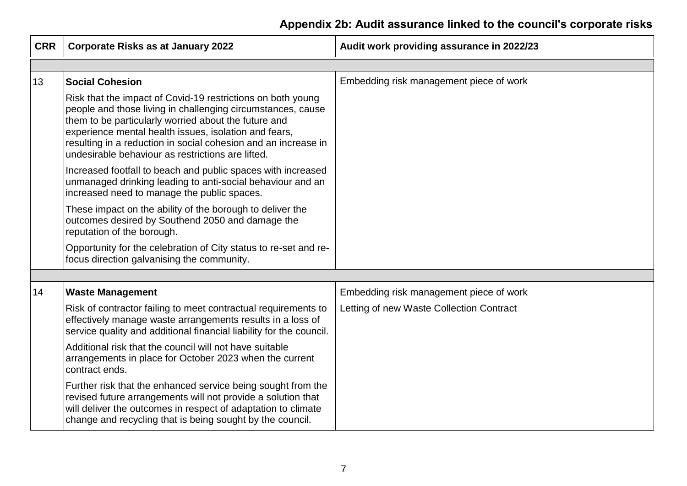| <b>CRR</b> | <b>Corporate Risks as at January 2022</b>                                                                                                                                                                                                                                                                                                                          | Audit work providing assurance in 2022/23 |
|------------|--------------------------------------------------------------------------------------------------------------------------------------------------------------------------------------------------------------------------------------------------------------------------------------------------------------------------------------------------------------------|-------------------------------------------|
|            |                                                                                                                                                                                                                                                                                                                                                                    |                                           |
| 13         | <b>Social Cohesion</b>                                                                                                                                                                                                                                                                                                                                             | Embedding risk management piece of work   |
|            | Risk that the impact of Covid-19 restrictions on both young<br>people and those living in challenging circumstances, cause<br>them to be particularly worried about the future and<br>experience mental health issues, isolation and fears,<br>resulting in a reduction in social cohesion and an increase in<br>undesirable behaviour as restrictions are lifted. |                                           |
|            | Increased footfall to beach and public spaces with increased<br>unmanaged drinking leading to anti-social behaviour and an<br>increased need to manage the public spaces.                                                                                                                                                                                          |                                           |
|            | These impact on the ability of the borough to deliver the<br>outcomes desired by Southend 2050 and damage the<br>reputation of the borough.                                                                                                                                                                                                                        |                                           |
|            | Opportunity for the celebration of City status to re-set and re-<br>focus direction galvanising the community.                                                                                                                                                                                                                                                     |                                           |
|            |                                                                                                                                                                                                                                                                                                                                                                    |                                           |
| 14         | <b>Waste Management</b>                                                                                                                                                                                                                                                                                                                                            | Embedding risk management piece of work   |
|            | Risk of contractor failing to meet contractual requirements to<br>effectively manage waste arrangements results in a loss of<br>service quality and additional financial liability for the council.                                                                                                                                                                | Letting of new Waste Collection Contract  |
|            | Additional risk that the council will not have suitable<br>arrangements in place for October 2023 when the current<br>contract ends.                                                                                                                                                                                                                               |                                           |
|            | Further risk that the enhanced service being sought from the<br>revised future arrangements will not provide a solution that<br>will deliver the outcomes in respect of adaptation to climate<br>change and recycling that is being sought by the council.                                                                                                         |                                           |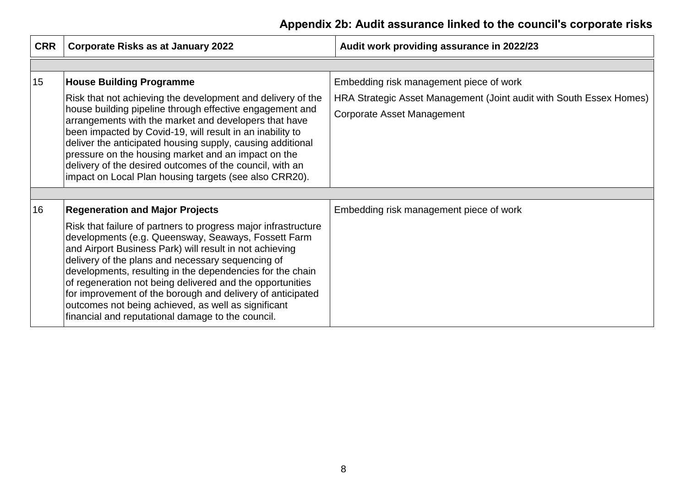| <b>CRR</b> | <b>Corporate Risks as at January 2022</b>                                                                                                                                                                                                                                                                                                                                                                                                                                                                                                 | Audit work providing assurance in 2022/23                                                         |
|------------|-------------------------------------------------------------------------------------------------------------------------------------------------------------------------------------------------------------------------------------------------------------------------------------------------------------------------------------------------------------------------------------------------------------------------------------------------------------------------------------------------------------------------------------------|---------------------------------------------------------------------------------------------------|
|            |                                                                                                                                                                                                                                                                                                                                                                                                                                                                                                                                           |                                                                                                   |
| 15         | <b>House Building Programme</b>                                                                                                                                                                                                                                                                                                                                                                                                                                                                                                           | Embedding risk management piece of work                                                           |
|            | Risk that not achieving the development and delivery of the<br>house building pipeline through effective engagement and<br>arrangements with the market and developers that have<br>been impacted by Covid-19, will result in an inability to<br>deliver the anticipated housing supply, causing additional<br>pressure on the housing market and an impact on the<br>delivery of the desired outcomes of the council, with an<br>impact on Local Plan housing targets (see also CRR20).                                                  | HRA Strategic Asset Management (Joint audit with South Essex Homes)<br>Corporate Asset Management |
|            |                                                                                                                                                                                                                                                                                                                                                                                                                                                                                                                                           |                                                                                                   |
| 16         | <b>Regeneration and Major Projects</b>                                                                                                                                                                                                                                                                                                                                                                                                                                                                                                    | Embedding risk management piece of work                                                           |
|            | Risk that failure of partners to progress major infrastructure<br>developments (e.g. Queensway, Seaways, Fossett Farm<br>and Airport Business Park) will result in not achieving<br>delivery of the plans and necessary sequencing of<br>developments, resulting in the dependencies for the chain<br>of regeneration not being delivered and the opportunities<br>for improvement of the borough and delivery of anticipated<br>outcomes not being achieved, as well as significant<br>financial and reputational damage to the council. |                                                                                                   |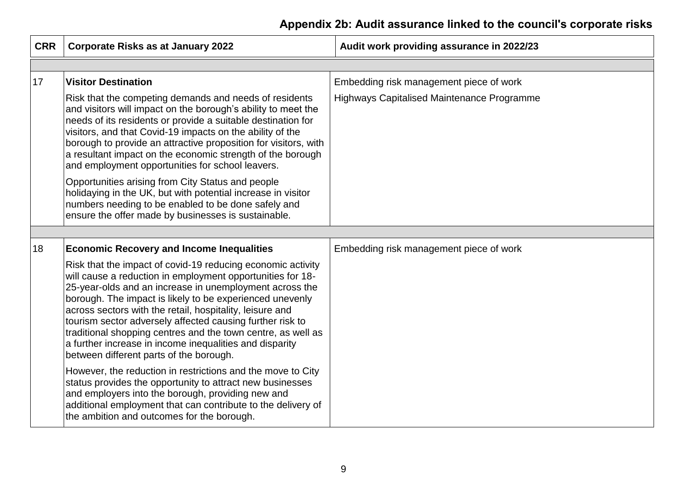| <b>CRR</b> | <b>Corporate Risks as at January 2022</b>                                                                                                                                                                                                                                                                                                                                                                                                                                                                                                       | Audit work providing assurance in 2022/23  |
|------------|-------------------------------------------------------------------------------------------------------------------------------------------------------------------------------------------------------------------------------------------------------------------------------------------------------------------------------------------------------------------------------------------------------------------------------------------------------------------------------------------------------------------------------------------------|--------------------------------------------|
|            |                                                                                                                                                                                                                                                                                                                                                                                                                                                                                                                                                 |                                            |
| 17         | <b>Visitor Destination</b>                                                                                                                                                                                                                                                                                                                                                                                                                                                                                                                      | Embedding risk management piece of work    |
|            | Risk that the competing demands and needs of residents<br>and visitors will impact on the borough's ability to meet the<br>needs of its residents or provide a suitable destination for<br>visitors, and that Covid-19 impacts on the ability of the<br>borough to provide an attractive proposition for visitors, with<br>a resultant impact on the economic strength of the borough<br>and employment opportunities for school leavers.                                                                                                       | Highways Capitalised Maintenance Programme |
|            | Opportunities arising from City Status and people<br>holidaying in the UK, but with potential increase in visitor<br>numbers needing to be enabled to be done safely and<br>ensure the offer made by businesses is sustainable.                                                                                                                                                                                                                                                                                                                 |                                            |
|            |                                                                                                                                                                                                                                                                                                                                                                                                                                                                                                                                                 |                                            |
| 18         | <b>Economic Recovery and Income Inequalities</b>                                                                                                                                                                                                                                                                                                                                                                                                                                                                                                | Embedding risk management piece of work    |
|            | Risk that the impact of covid-19 reducing economic activity<br>will cause a reduction in employment opportunities for 18-<br>25-year-olds and an increase in unemployment across the<br>borough. The impact is likely to be experienced unevenly<br>across sectors with the retail, hospitality, leisure and<br>tourism sector adversely affected causing further risk to<br>traditional shopping centres and the town centre, as well as<br>a further increase in income inequalities and disparity<br>between different parts of the borough. |                                            |
|            | However, the reduction in restrictions and the move to City<br>status provides the opportunity to attract new businesses<br>and employers into the borough, providing new and<br>additional employment that can contribute to the delivery of<br>the ambition and outcomes for the borough.                                                                                                                                                                                                                                                     |                                            |